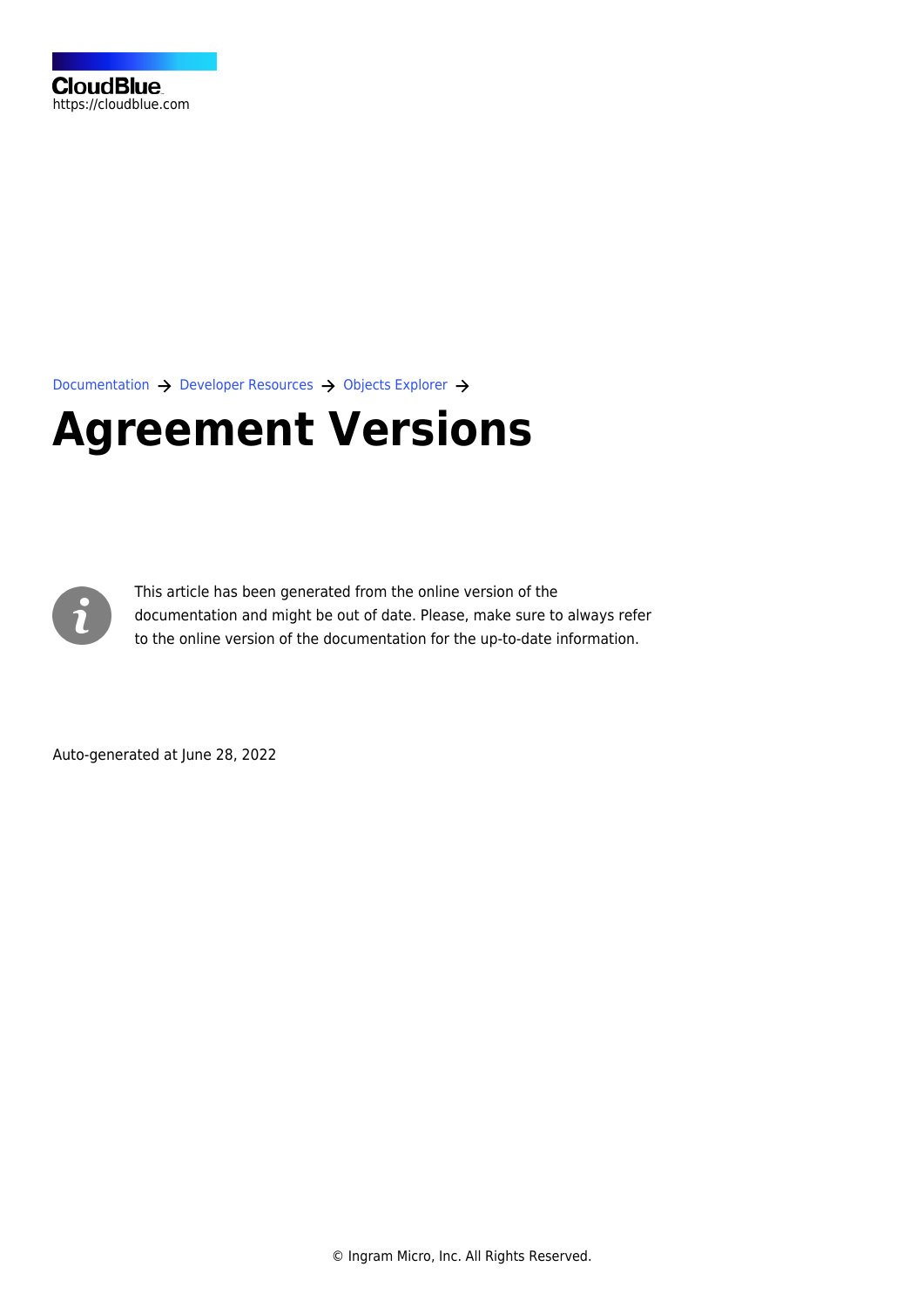[Documentation](https://connect.cloudblue.com/documentation)  $\rightarrow$  [Developer Resources](https://connect.cloudblue.com/community/developers/)  $\rightarrow$  [Objects Explorer](https://connect.cloudblue.com/community/developers/objects/)  $\rightarrow$ 

## **[Agreement Versions](https://connect.cloudblue.com/community/developers/objects/agreement-versions/)**



This article has been generated from the online version of the documentation and might be out of date. Please, make sure to always refer to the online version of the documentation for the up-to-date information.

Auto-generated at June 28, 2022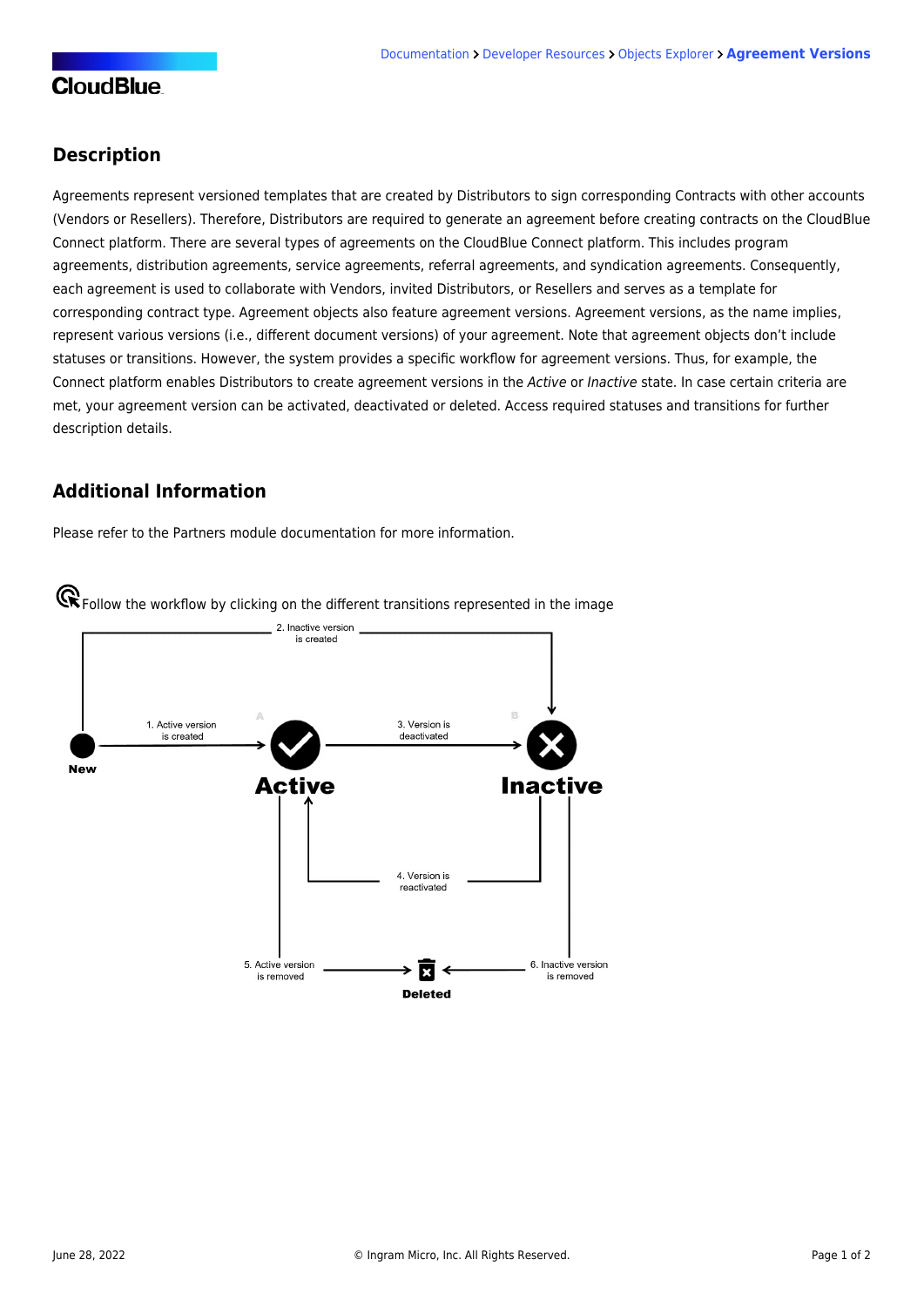## **Description**

Agreements represent versioned templates that are created by Distributors to sign corresponding Contracts with other accounts (Vendors or Resellers). Therefore, Distributors are required to generate an agreement before creating contracts on the CloudBlue Connect platform. There are several types of agreements on the CloudBlue Connect platform. This includes program agreements, distribution agreements, service agreements, referral agreements, and syndication agreements. Consequently, each agreement is used to collaborate with Vendors, invited Distributors, or Resellers and serves as a template for corresponding contract type. Agreement objects also feature agreement versions. Agreement versions, as the name implies, represent various versions (i.e., different document versions) of your agreement. Note that agreement objects don't include statuses or transitions. However, the system provides a specific workflow for agreement versions. Thus, for example, the Connect platform enables Distributors to create agreement versions in the Active or Inactive state. In case certain criteria are met, your agreement version can be activated, deactivated or deleted. Access required statuses and transitions for further description details.

## **Additional Information**

Please refer to the [Partners module documentation](https://connect.cloudblue.com/community/modules/partners/agreements/) for more information.



Follow the workflow by clicking on the different transitions represented in the image